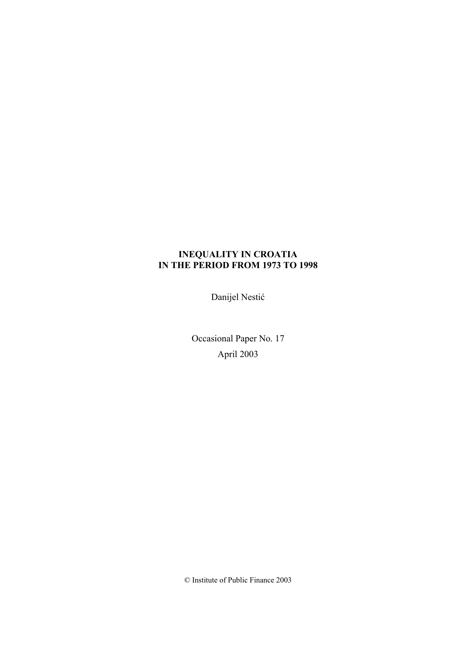## **INEQUALITY IN CROATIA IN THE PERIOD FROM 1973 TO 1998**

Danijel Nestić

Occasional Paper No. 17 April 2003

© Institute of Public Finance 2003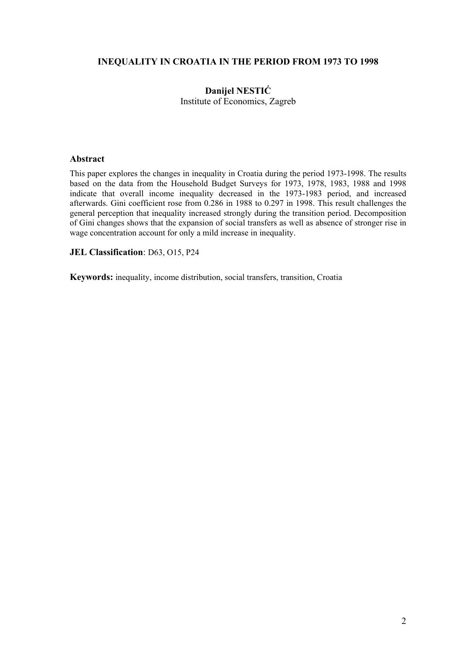## **INEQUALITY IN CROATIA IN THE PERIOD FROM 1973 TO 1998**

## **Danijel NESTIĆ**

Institute of Economics, Zagreb

#### **Abstract**

This paper explores the changes in inequality in Croatia during the period 1973-1998. The results based on the data from the Household Budget Surveys for 1973, 1978, 1983, 1988 and 1998 indicate that overall income inequality decreased in the 1973-1983 period, and increased afterwards. Gini coefficient rose from 0.286 in 1988 to 0.297 in 1998. This result challenges the general perception that inequality increased strongly during the transition period. Decomposition of Gini changes shows that the expansion of social transfers as well as absence of stronger rise in wage concentration account for only a mild increase in inequality.

### **JEL Classification**: D63, O15, P24

**Keywords:** inequality, income distribution, social transfers, transition, Croatia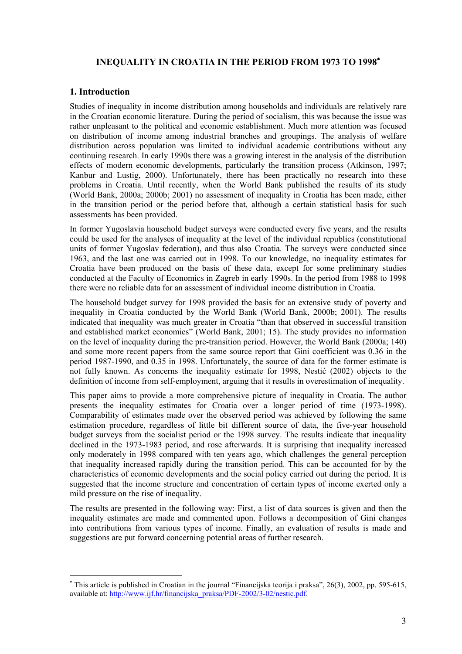## **INEQUALITY IN CROATIA IN THE PERIOD FROM 1973 TO 1998**<sup>∗</sup>

## **1. Introduction**

 $\overline{a}$ 

Studies of inequality in income distribution among households and individuals are relatively rare in the Croatian economic literature. During the period of socialism, this was because the issue was rather unpleasant to the political and economic establishment. Much more attention was focused on distribution of income among industrial branches and groupings. The analysis of welfare distribution across population was limited to individual academic contributions without any continuing research. In early 1990s there was a growing interest in the analysis of the distribution effects of modern economic developments, particularly the transition process (Atkinson, 1997; Kanbur and Lustig, 2000). Unfortunately, there has been practically no research into these problems in Croatia. Until recently, when the World Bank published the results of its study (World Bank, 2000a; 2000b; 2001) no assessment of inequality in Croatia has been made, either in the transition period or the period before that, although a certain statistical basis for such assessments has been provided.

In former Yugoslavia household budget surveys were conducted every five years, and the results could be used for the analyses of inequality at the level of the individual republics (constitutional units of former Yugoslav federation), and thus also Croatia. The surveys were conducted since 1963, and the last one was carried out in 1998. To our knowledge, no inequality estimates for Croatia have been produced on the basis of these data, except for some preliminary studies conducted at the Faculty of Economics in Zagreb in early 1990s. In the period from 1988 to 1998 there were no reliable data for an assessment of individual income distribution in Croatia.

The household budget survey for 1998 provided the basis for an extensive study of poverty and inequality in Croatia conducted by the World Bank (World Bank, 2000b; 2001). The results indicated that inequality was much greater in Croatia "than that observed in successful transition and established market economies" (World Bank, 2001; 15). The study provides no information on the level of inequality during the pre-transition period. However, the World Bank (2000a; 140) and some more recent papers from the same source report that Gini coefficient was 0.36 in the period 1987-1990, and 0.35 in 1998. Unfortunately, the source of data for the former estimate is not fully known. As concerns the inequality estimate for 1998, Nestić (2002) objects to the definition of income from self-employment, arguing that it results in overestimation of inequality.

This paper aims to provide a more comprehensive picture of inequality in Croatia. The author presents the inequality estimates for Croatia over a longer period of time (1973-1998). Comparability of estimates made over the observed period was achieved by following the same estimation procedure, regardless of little bit different source of data, the five-year household budget surveys from the socialist period or the 1998 survey. The results indicate that inequality declined in the 1973-1983 period, and rose afterwards. It is surprising that inequality increased only moderately in 1998 compared with ten years ago, which challenges the general perception that inequality increased rapidly during the transition period. This can be accounted for by the characteristics of economic developments and the social policy carried out during the period. It is suggested that the income structure and concentration of certain types of income exerted only a mild pressure on the rise of inequality.

The results are presented in the following way: First, a list of data sources is given and then the inequality estimates are made and commented upon. Follows a decomposition of Gini changes into contributions from various types of income. Finally, an evaluation of results is made and suggestions are put forward concerning potential areas of further research.

<sup>∗</sup> This article is published in Croatian in the journal "Financijska teorija i praksa", 26(3), 2002, pp. 595-615, available at: http://www.ijf.hr/financijska\_praksa/PDF-2002/3-02/nestic.pdf.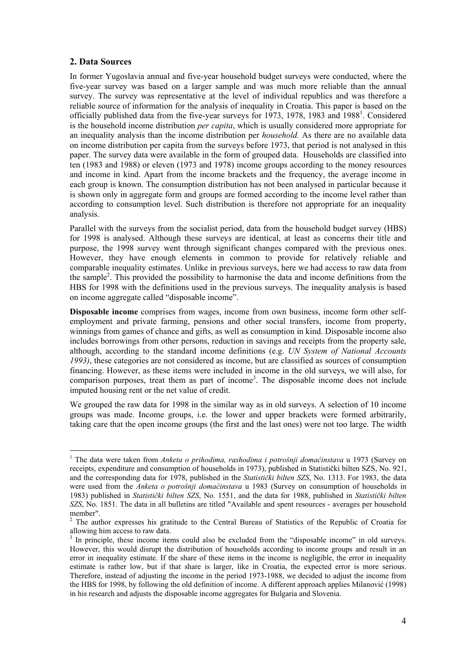## **2. Data Sources**

 $\overline{a}$ 

In former Yugoslavia annual and five-year household budget surveys were conducted, where the five-year survey was based on a larger sample and was much more reliable than the annual survey. The survey was representative at the level of individual republics and was therefore a reliable source of information for the analysis of inequality in Croatia. This paper is based on the officially published data from the five-year surveys for 1973, 1978, 1983 and 1988<sup>1</sup>. Considered is the household income distribution *per capita*, which is usually considered more appropriate for an inequality analysis than the income distribution per *household.* As there are no available data on income distribution per capita from the surveys before 1973, that period is not analysed in this paper. The survey data were available in the form of grouped data. Households are classified into ten (1983 and 1988) or eleven (1973 and 1978) income groups according to the money resources and income in kind. Apart from the income brackets and the frequency, the average income in each group is known. The consumption distribution has not been analysed in particular because it is shown only in aggregate form and groups are formed according to the income level rather than according to consumption level. Such distribution is therefore not appropriate for an inequality analysis.

Parallel with the surveys from the socialist period, data from the household budget survey (HBS) for 1998 is analysed. Although these surveys are identical, at least as concerns their title and purpose, the 1998 survey went through significant changes compared with the previous ones. However, they have enough elements in common to provide for relatively reliable and comparable inequality estimates. Unlike in previous surveys, here we had access to raw data from the sample<sup>2</sup>. This provided the possibility to harmonise the data and income definitions from the HBS for 1998 with the definitions used in the previous surveys. The inequality analysis is based on income aggregate called "disposable income".

**Disposable income** comprises from wages, income from own business, income form other selfemployment and private farming, pensions and other social transfers, income from property, winnings from games of chance and gifts, as well as consumption in kind. Disposable income also includes borrowings from other persons, reduction in savings and receipts from the property sale, although, according to the standard income definitions (e.g. *UN System of National Accounts 1993)*, these categories are not considered as income, but are classified as sources of consumption financing. However, as these items were included in income in the old surveys, we will also, for comparison purposes, treat them as part of income<sup>3</sup>. The disposable income does not include imputed housing rent or the net value of credit.

We grouped the raw data for 1998 in the similar way as in old surveys. A selection of 10 income groups was made. Income groups, i.e. the lower and upper brackets were formed arbitrarily, taking care that the open income groups (the first and the last ones) were not too large. The width

<sup>1</sup> The data were taken from *Anketa o prihodima, rashodima i potrošnji domaćinstava* u 1973 (Survey on receipts, expenditure and consumption of households in 1973), published in Statistički bilten SZS, No. 921, and the corresponding data for 1978, published in the *Statistički bilten SZS*, No. 1313. For 1983, the data were used from the *Anketa o potrošnji domaćinstava* u 1983 (Survey on consumption of households in 1983) published in *Statistički bilten SZS*, No. 1551, and the data for 1988, published in *Statistički bilten SZS*, No. 1851. The data in all bulletins are titled "Available and spent resources - averages per household member".

<sup>&</sup>lt;sup>2</sup> The author expresses his gratitude to the Central Bureau of Statistics of the Republic of Croatia for allowing him access to raw data.

<sup>&</sup>lt;sup>3</sup> In principle, these income items could also be excluded from the "disposable income" in old surveys. However, this would disrupt the distribution of households according to income groups and result in an error in inequality estimate. If the share of these items in the income is negligible, the error in inequality estimate is rather low, but if that share is larger, like in Croatia, the expected error is more serious. Therefore, instead of adjusting the income in the period 1973-1988, we decided to adjust the income from the HBS for 1998, by following the old definition of income. A different approach applies Milanović (1998) in his research and adjusts the disposable income aggregates for Bulgaria and Slovenia.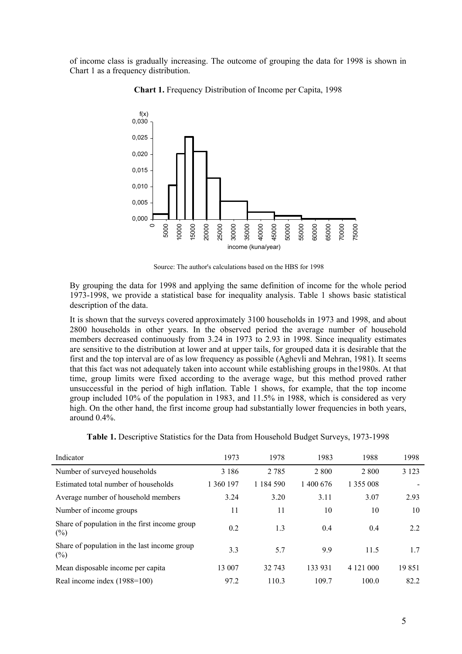of income class is gradually increasing. The outcome of grouping the data for 1998 is shown in Chart 1 as a frequency distribution.



**Chart 1.** Frequency Distribution of Income per Capita, 1998

Source: The author's calculations based on the HBS for 1998

By grouping the data for 1998 and applying the same definition of income for the whole period 1973-1998, we provide a statistical base for inequality analysis. Table 1 shows basic statistical description of the data.

It is shown that the surveys covered approximately 3100 households in 1973 and 1998, and about 2800 households in other years. In the observed period the average number of household members decreased continuously from 3.24 in 1973 to 2.93 in 1998. Since inequality estimates are sensitive to the distribution at lower and at upper tails, for grouped data it is desirable that the first and the top interval are of as low frequency as possible (Aghevli and Mehran, 1981). It seems that this fact was not adequately taken into account while establishing groups in the1980s. At that time, group limits were fixed according to the average wage, but this method proved rather unsuccessful in the period of high inflation. Table 1 shows, for example, that the top income group included 10% of the population in 1983, and 11.5% in 1988, which is considered as very high. On the other hand, the first income group had substantially lower frequencies in both years, around 0.4%.

|  |  | Table 1. Descriptive Statistics for the Data from Household Budget Surveys, 1973-1998 |  |
|--|--|---------------------------------------------------------------------------------------|--|
|--|--|---------------------------------------------------------------------------------------|--|

| Indicator                                               | 1973      | 1978          | 1983      | 1988      | 1998    |
|---------------------------------------------------------|-----------|---------------|-----------|-----------|---------|
| Number of surveyed households                           | 3 1 8 6   | 2 7 8 5       | 2 8 0 0   | 2 8 0 0   | 3 1 2 3 |
| Estimated total number of households                    | 1 360 197 | 1 1 8 4 5 9 0 | 1 400 676 | 1 355 008 |         |
| Average number of household members                     | 3.24      | 3.20          | 3.11      | 3.07      | 2.93    |
| Number of income groups                                 | 11        | 11            | 10        | 10        | 10      |
| Share of population in the first income group<br>$(\%)$ | 0.2       | 1.3           | 0.4       | 0.4       | 2.2     |
| Share of population in the last income group<br>$(\%)$  | 3.3       | 5.7           | 9.9       | 11.5      | 1.7     |
| Mean disposable income per capita                       | 13 007    | 32 743        | 133 931   | 4 121 000 | 19851   |
| Real income index (1988=100)                            | 97.2      | 110.3         | 109.7     | 100.0     | 82.2    |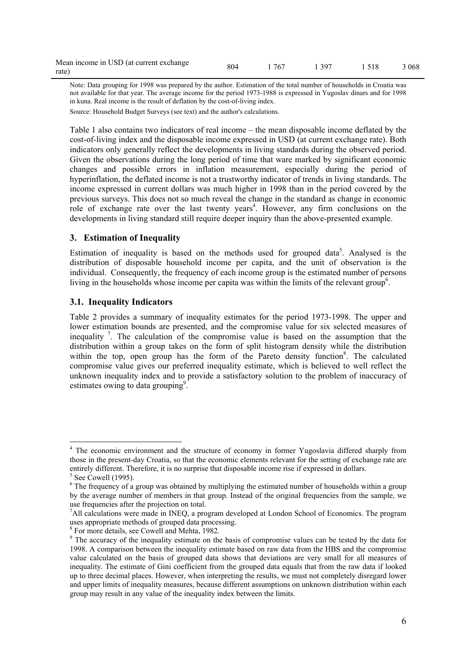| Mean income in USD (at current exchange | 804 | 1 767 | 1 3 9 7 | 1.518 | 3 0 6 8 |
|-----------------------------------------|-----|-------|---------|-------|---------|
| rate)                                   |     |       |         |       |         |

Note: Data grouping for 1998 was prepared by the author. Estimation of the total number of households in Croatia was not available for that year. The average income for the period 1973-1988 is expressed in Yugoslav dinars and for 1998 in kuna. Real income is the result of deflation by the cost-of-living index. Source: Household Budget Surveys (see text) and the author's calculations.

Table 1 also contains two indicators of real income – the mean disposable income deflated by the cost-of-living index and the disposable income expressed in USD (at current exchange rate). Both indicators only generally reflect the developments in living standards during the observed period. Given the observations during the long period of time that ware marked by significant economic changes and possible errors in inflation measurement, especially during the period of hyperinflation, the deflated income is not a trustworthy indicator of trends in living standards. The income expressed in current dollars was much higher in 1998 than in the period covered by the previous surveys. This does not so much reveal the change in the standard as change in economic role of exchange rate over the last twenty years<sup>4</sup>. However, any firm conclusions on the developments in living standard still require deeper inquiry than the above-presented example.

### **3. Estimation of Inequality**

Estimation of inequality is based on the methods used for grouped data<sup>5</sup>. Analysed is the distribution of disposable household income per capita, and the unit of observation is the individual. Consequently, the frequency of each income group is the estimated number of persons living in the households whose income per capita was within the limits of the relevant group<sup>6</sup>.

## **3.1. Inequality Indicators**

Table 2 provides a summary of inequality estimates for the period 1973-1998. The upper and lower estimation bounds are presented, and the compromise value for six selected measures of inequality 7. The calculation of the compromise value is based on the assumption that the distribution within a group takes on the form of split histogram density while the distribution within the top, open group has the form of the Pareto density function<sup>8</sup>. The calculated compromise value gives our preferred inequality estimate, which is believed to well reflect the unknown inequality index and to provide a satisfactory solution to the problem of inaccuracy of estimates owing to data grouping<sup>9</sup>.

<sup>&</sup>lt;sup>4</sup> The economic environment and the structure of economy in former Yugoslavia differed sharply from those in the present-day Croatia, so that the economic elements relevant for the setting of exchange rate are entirely different. Therefore, it is no surprise that disposable income rise if expressed in dollars.<br><sup>5</sup> See Cowell (1995).

<sup>&</sup>lt;sup>6</sup> The frequency of a group was obtained by multiplying the estimated number of households within a group by the average number of members in that group. Instead of the original frequencies from the sample, we use frequencies after the projection on total.

<sup>&</sup>lt;sup>7</sup>All calculations were made in INEQ, a program developed at London School of Economics. The program uses appropriate methods of grouped data processing.

<sup>8</sup> For more details, see Cowell and Mehta, 1982.

<sup>&</sup>lt;sup>9</sup> The accuracy of the inequality estimate on the basis of compromise values can be tested by the data for 1998. A comparison between the inequality estimate based on raw data from the HBS and the compromise value calculated on the basis of grouped data shows that deviations are very small for all measures of inequality. The estimate of Gini coefficient from the grouped data equals that from the raw data if looked up to three decimal places. However, when interpreting the results, we must not completely disregard lower and upper limits of inequality measures, because different assumptions on unknown distribution within each group may result in any value of the inequality index between the limits.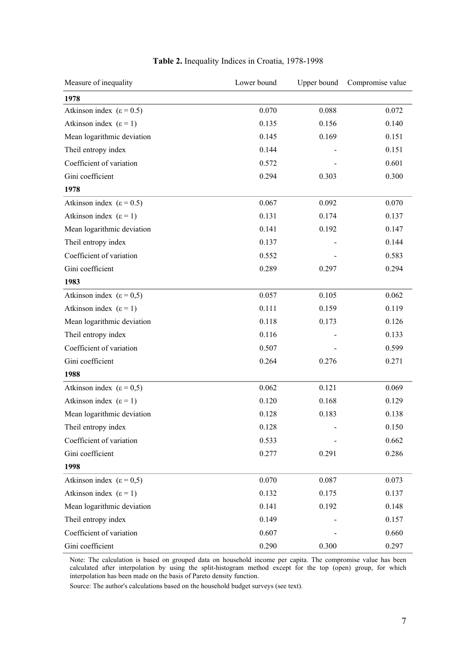| Measure of inequality                 | Lower bound | Upper bound | Compromise value |
|---------------------------------------|-------------|-------------|------------------|
| 1978                                  |             |             |                  |
| Atkinson index ( $\varepsilon$ = 0.5) | 0.070       | 0.088       | 0.072            |
| Atkinson index $(\epsilon = 1)$       | 0.135       | 0.156       | 0.140            |
| Mean logarithmic deviation            | 0.145       | 0.169       | 0.151            |
| Theil entropy index                   | 0.144       |             | 0.151            |
| Coefficient of variation              | 0.572       |             | 0.601            |
| Gini coefficient                      | 0.294       | 0.303       | 0.300            |
| 1978                                  |             |             |                  |
| Atkinson index ( $\varepsilon$ = 0.5) | 0.067       | 0.092       | 0.070            |
| Atkinson index $(\epsilon = 1)$       | 0.131       | 0.174       | 0.137            |
| Mean logarithmic deviation            | 0.141       | 0.192       | 0.147            |
| Theil entropy index                   | 0.137       |             | 0.144            |
| Coefficient of variation              | 0.552       |             | 0.583            |
| Gini coefficient                      | 0.289       | 0.297       | 0.294            |
| 1983                                  |             |             |                  |
| Atkinson index ( $\varepsilon$ = 0.5) | 0.057       | 0.105       | 0.062            |
| Atkinson index $(\epsilon = 1)$       | 0.111       | 0.159       | 0.119            |
| Mean logarithmic deviation            | 0.118       | 0.173       | 0.126            |
| Theil entropy index                   | 0.116       |             | 0.133            |
| Coefficient of variation              | 0.507       |             | 0.599            |
| Gini coefficient                      | 0.264       | 0.276       | 0.271            |
| 1988                                  |             |             |                  |
| Atkinson index $(\epsilon = 0.5)$     | 0.062       | 0.121       | 0.069            |
| Atkinson index $(\epsilon = 1)$       | 0.120       | 0.168       | 0.129            |
| Mean logarithmic deviation            | 0.128       | 0.183       | 0.138            |
| Theil entropy index                   | 0.128       |             | 0.150            |
| Coefficient of variation              | 0.533       |             | 0.662            |
| Gini coefficient                      | 0.277       | 0.291       | 0.286            |
| 1998                                  |             |             |                  |
| Atkinson index ( $\varepsilon$ = 0,5) | 0.070       | 0.087       | 0.073            |
| Atkinson index $(\epsilon = 1)$       | 0.132       | 0.175       | 0.137            |
| Mean logarithmic deviation            | 0.141       | 0.192       | 0.148            |
| Theil entropy index                   | 0.149       |             | 0.157            |
| Coefficient of variation              | 0.607       |             | 0.660            |
| Gini coefficient                      | 0.290       | 0.300       | 0.297            |

## **Table 2.** Inequality Indices in Croatia, 1978-1998

Note: The calculation is based on grouped data on household income per capita. The compromise value has been calculated after interpolation by using the split-histogram method except for the top (open) group, for which interpolation has been made on the basis of Pareto density function.

Source: The author's calculations based on the household budget surveys (see text).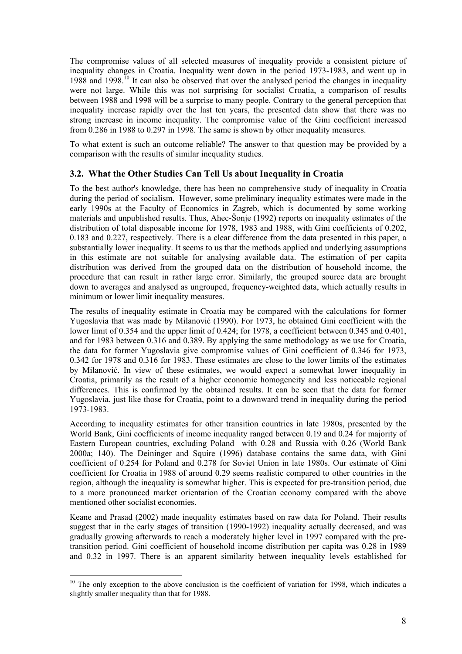The compromise values of all selected measures of inequality provide a consistent picture of inequality changes in Croatia. Inequality went down in the period 1973-1983, and went up in 1988 and 1998.<sup>10</sup> It can also be observed that over the analysed period the changes in inequality were not large. While this was not surprising for socialist Croatia, a comparison of results between 1988 and 1998 will be a surprise to many people. Contrary to the general perception that inequality increase rapidly over the last ten years, the presented data show that there was no strong increase in income inequality. The compromise value of the Gini coefficient increased from 0.286 in 1988 to 0.297 in 1998. The same is shown by other inequality measures.

To what extent is such an outcome reliable? The answer to that question may be provided by a comparison with the results of similar inequality studies.

## **3.2. What the Other Studies Can Tell Us about Inequality in Croatia**

To the best author's knowledge, there has been no comprehensive study of inequality in Croatia during the period of socialism. However, some preliminary inequality estimates were made in the early 1990s at the Faculty of Economics in Zagreb, which is documented by some working materials and unpublished results. Thus, Ahec-Šonie (1992) reports on inequality estimates of the distribution of total disposable income for 1978, 1983 and 1988, with Gini coefficients of 0.202, 0.183 and 0.227, respectively. There is a clear difference from the data presented in this paper, a substantially lower inequality. It seems to us that the methods applied and underlying assumptions in this estimate are not suitable for analysing available data. The estimation of per capita distribution was derived from the grouped data on the distribution of household income, the procedure that can result in rather large error. Similarly, the grouped source data are brought down to averages and analysed as ungrouped, frequency-weighted data, which actually results in minimum or lower limit inequality measures.

The results of inequality estimate in Croatia may be compared with the calculations for former Yugoslavia that was made by Milanović (1990). For 1973, he obtained Gini coefficient with the lower limit of 0.354 and the upper limit of 0.424; for 1978, a coefficient between 0.345 and 0.401, and for 1983 between 0.316 and 0.389. By applying the same methodology as we use for Croatia, the data for former Yugoslavia give compromise values of Gini coefficient of 0.346 for 1973, 0.342 for 1978 and 0.316 for 1983. These estimates are close to the lower limits of the estimates by Milanović. In view of these estimates, we would expect a somewhat lower inequality in Croatia, primarily as the result of a higher economic homogeneity and less noticeable regional differences. This is confirmed by the obtained results. It can be seen that the data for former Yugoslavia, just like those for Croatia, point to a downward trend in inequality during the period 1973-1983.

According to inequality estimates for other transition countries in late 1980s, presented by the World Bank, Gini coefficients of income inequality ranged between 0.19 and 0.24 for majority of Eastern European countries, excluding Poland with 0.28 and Russia with 0.26 (World Bank 2000a; 140). The Deininger and Squire (1996) database contains the same data, with Gini coefficient of 0.254 for Poland and 0.278 for Soviet Union in late 1980s. Our estimate of Gini coefficient for Croatia in 1988 of around 0.29 seems realistic compared to other countries in the region, although the inequality is somewhat higher. This is expected for pre-transition period, due to a more pronounced market orientation of the Croatian economy compared with the above mentioned other socialist economies.

Keane and Prasad (2002) made inequality estimates based on raw data for Poland. Their results suggest that in the early stages of transition (1990-1992) inequality actually decreased, and was gradually growing afterwards to reach a moderately higher level in 1997 compared with the pretransition period. Gini coefficient of household income distribution per capita was 0.28 in 1989 and 0.32 in 1997. There is an apparent similarity between inequality levels established for

 $10$  The only exception to the above conclusion is the coefficient of variation for 1998, which indicates a slightly smaller inequality than that for 1988.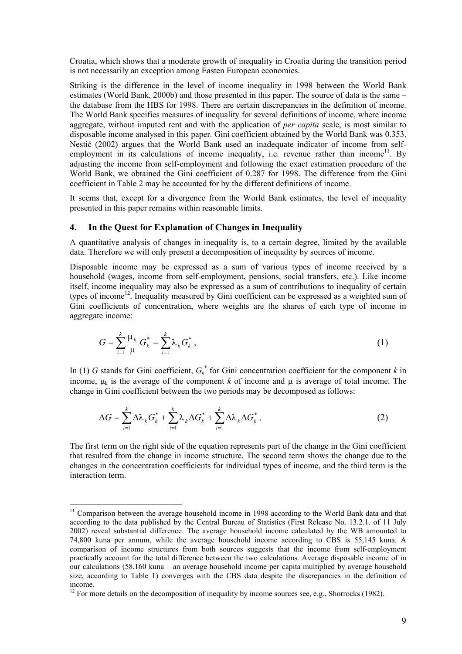Croatia, which shows that a moderate growth of inequality in Croatia during the transition period is not necessarily an exception among Easten European economies.

Striking is the difference in the level of income inequality in 1998 between the World Bank estimates (World Bank, 2000b) and those presented in this paper. The source of data is the same – the database from the HBS for 1998. There are certain discrepancies in the definition of income. The World Bank specifies measures of inequality for several definitions of income, where income aggregate, without imputed rent and with the application of *per capita* scale, is most similar to disposable income analysed in this paper. Gini coefficient obtained by the World Bank was 0.353. Nestić (2002) argues that the World Bank used an inadequate indicator of income from selfemployment in its calculations of income inequality, i.e. revenue rather than income<sup>11</sup>. By adjusting the income from self-employment and following the exact estimation procedure of the World Bank, we obtained the Gini coefficient of 0.287 for 1998. The difference from the Gini coefficient in Table 2 may be accounted for by the different definitions of income.

It seems that, except for a divergence from the World Bank estimates, the level of inequality presented in this paper remains within reasonable limits.

## **4. In the Quest for Explanation of Changes in Inequality**

 $\overline{a}$ 

A quantitative analysis of changes in inequality is, to a certain degree, limited by the available data. Therefore we will only present a decomposition of inequality by sources of income.

Disposable income may be expressed as a sum of various types of income received by a household (wages, income from self-employment, pensions, social transfers, etc.). Like income itself, income inequality may also be expressed as a sum of contributions to inequality of certain types of income<sup>12</sup>. Inequality measured by Gini coefficient can be expressed as a weighted sum of Gini coefficients of concentration, where weights are the shares of each type of income in aggregate income:

$$
G = \sum_{i=1}^{k} \frac{\mu_k}{\mu} G_k^* = \sum_{i=1}^{k} \lambda_k G_k^*,
$$
 (1)

In (1) *G* stands for Gini coefficient,  $G_k^*$  for Gini concentration coefficient for the component *k* in income,  $\mu_k$  is the average of the component *k* of income and  $\mu$  is average of total income. The change in Gini coefficient between the two periods may be decomposed as follows:

$$
\Delta G = \sum_{i=1}^{k} \Delta \lambda_k G_k^* + \sum_{i=1}^{k} \lambda_k \Delta G_k^* + \sum_{i=1}^{k} \Delta \lambda_k \Delta G_k^* \,. \tag{2}
$$

The first term on the right side of the equation represents part of the change in the Gini coefficient that resulted from the change in income structure. The second term shows the change due to the changes in the concentration coefficients for individual types of income, and the third term is the interaction term.

 $11$  Comparison between the average household income in 1998 according to the World Bank data and that according to the data published by the Central Bureau of Statistics (First Release No. 13.2.1. of 11 July 2002) reveal substantial difference. The average household income calculated by the WB amounted to 74,800 kuna per annum, while the average household income according to CBS is 55,145 kuna. A comparison of income structures from both sources suggests that the income from self-employment practically account for the total difference between the two calculations. Average disposable income of in our calculations (58,160 kuna – an average household income per capita multiplied by average household size, according to Table 1) converges with the CBS data despite the discrepancies in the definition of income.

 $12$  For more details on the decomposition of inequality by income sources see, e.g., Shorrocks (1982).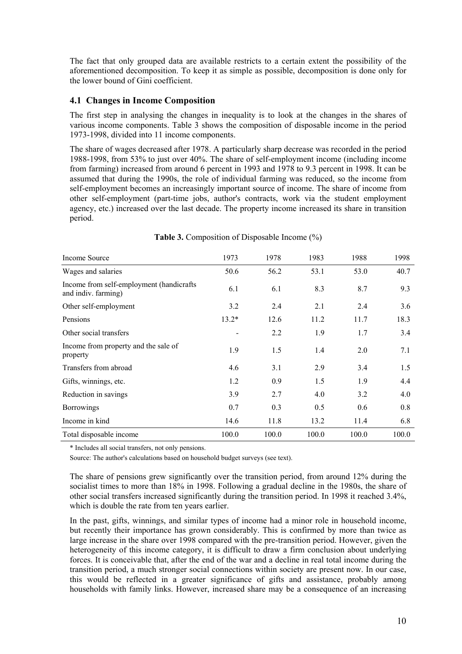The fact that only grouped data are available restricts to a certain extent the possibility of the aforementioned decomposition. To keep it as simple as possible, decomposition is done only for the lower bound of Gini coefficient.

## **4.1 Changes in Income Composition**

The first step in analysing the changes in inequality is to look at the changes in the shares of various income components. Table 3 shows the composition of disposable income in the period 1973-1998, divided into 11 income components.

The share of wages decreased after 1978. A particularly sharp decrease was recorded in the period 1988-1998, from 53% to just over 40%. The share of self-employment income (including income from farming) increased from around 6 percent in 1993 and 1978 to 9.3 percent in 1998. It can be assumed that during the 1990s, the role of individual farming was reduced, so the income from self-employment becomes an increasingly important source of income. The share of income from other self-employment (part-time jobs, author's contracts, work via the student employment agency, etc.) increased over the last decade. The property income increased its share in transition period.

| Income Source                                                   | 1973    | 1978  | 1983  | 1988  | 1998  |
|-----------------------------------------------------------------|---------|-------|-------|-------|-------|
| Wages and salaries                                              | 50.6    | 56.2  | 53.1  | 53.0  | 40.7  |
| Income from self-employment (handicrafts<br>and indiv. farming) | 6.1     | 6.1   | 8.3   | 8.7   | 9.3   |
| Other self-employment                                           | 3.2     | 2.4   | 2.1   | 2.4   | 3.6   |
| Pensions                                                        | $13.2*$ | 12.6  | 11.2  | 11.7  | 18.3  |
| Other social transfers                                          |         | 2.2   | 1.9   | 1.7   | 3.4   |
| Income from property and the sale of<br>property                | 1.9     | 1.5   | 1.4   | 2.0   | 7.1   |
| Transfers from abroad                                           | 4.6     | 3.1   | 2.9   | 3.4   | 1.5   |
| Gifts, winnings, etc.                                           | 1.2     | 0.9   | 1.5   | 1.9   | 4.4   |
| Reduction in savings                                            | 3.9     | 2.7   | 4.0   | 3.2   | 4.0   |
| <b>Borrowings</b>                                               | 0.7     | 0.3   | 0.5   | 0.6   | 0.8   |
| Income in kind                                                  | 14.6    | 11.8  | 13.2  | 11.4  | 6.8   |
| Total disposable income                                         | 100.0   | 100.0 | 100.0 | 100.0 | 100.0 |

**Table 3.** Composition of Disposable Income (%)

\* Includes all social transfers, not only pensions.

Source: The author's calculations based on household budget surveys (see text).

The share of pensions grew significantly over the transition period, from around 12% during the socialist times to more than 18% in 1998. Following a gradual decline in the 1980s, the share of other social transfers increased significantly during the transition period. In 1998 it reached 3.4%, which is double the rate from ten years earlier.

In the past, gifts, winnings, and similar types of income had a minor role in household income, but recently their importance has grown considerably. This is confirmed by more than twice as large increase in the share over 1998 compared with the pre-transition period. However, given the heterogeneity of this income category, it is difficult to draw a firm conclusion about underlying forces. It is conceivable that, after the end of the war and a decline in real total income during the transition period, a much stronger social connections within society are present now. In our case, this would be reflected in a greater significance of gifts and assistance, probably among households with family links. However, increased share may be a consequence of an increasing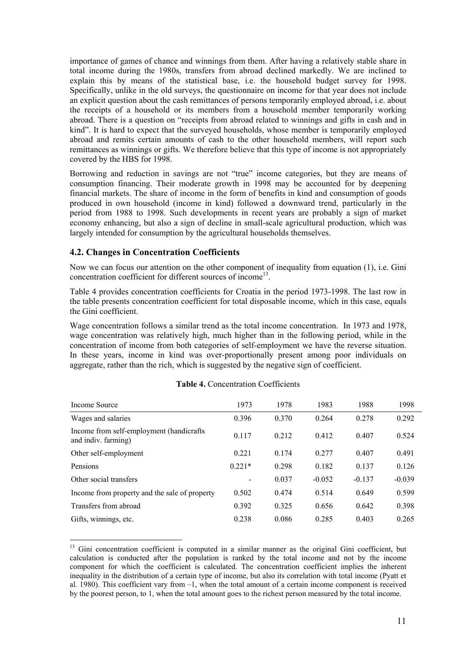importance of games of chance and winnings from them. After having a relatively stable share in total income during the 1980s, transfers from abroad declined markedly. We are inclined to explain this by means of the statistical base, i.e. the household budget survey for 1998. Specifically, unlike in the old surveys, the questionnaire on income for that year does not include an explicit question about the cash remittances of persons temporarily employed abroad, i.e. about the receipts of a household or its members from a household member temporarily working abroad. There is a question on "receipts from abroad related to winnings and gifts in cash and in kind". It is hard to expect that the surveyed households, whose member is temporarily employed abroad and remits certain amounts of cash to the other household members, will report such remittances as winnings or gifts. We therefore believe that this type of income is not appropriately covered by the HBS for 1998.

Borrowing and reduction in savings are not "true" income categories, but they are means of consumption financing. Their moderate growth in 1998 may be accounted for by deepening financial markets. The share of income in the form of benefits in kind and consumption of goods produced in own household (income in kind) followed a downward trend, particularly in the period from 1988 to 1998. Such developments in recent years are probably a sign of market economy enhancing, but also a sign of decline in small-scale agricultural production, which was largely intended for consumption by the agricultural households themselves.

## **4.2. Changes in Concentration Coefficients**

Now we can focus our attention on the other component of inequality from equation (1), i.e. Gini concentration coefficient for different sources of income<sup>13</sup>.

Table 4 provides concentration coefficients for Croatia in the period 1973-1998. The last row in the table presents concentration coefficient for total disposable income, which in this case, equals the Gini coefficient.

Wage concentration follows a similar trend as the total income concentration. In 1973 and 1978, wage concentration was relatively high, much higher than in the following period, while in the concentration of income from both categories of self-employment we have the reverse situation. In these years, income in kind was over-proportionally present among poor individuals on aggregate, rather than the rich, which is suggested by the negative sign of coefficient.

| Income Source                                                    | 1973                     | 1978  | 1983     | 1988     | 1998     |
|------------------------------------------------------------------|--------------------------|-------|----------|----------|----------|
| Wages and salaries                                               | 0.396                    | 0.370 | 0.264    | 0.278    | 0.292    |
| Income from self-employment (handicrafts)<br>and indiv. farming) | 0.117                    | 0.212 | 0.412    | 0.407    | 0.524    |
| Other self-employment                                            | 0.221                    | 0.174 | 0.277    | 0.407    | 0.491    |
| Pensions                                                         | $0.221*$                 | 0.298 | 0.182    | 0.137    | 0.126    |
| Other social transfers                                           | $\overline{\phantom{a}}$ | 0.037 | $-0.052$ | $-0.137$ | $-0.039$ |
| Income from property and the sale of property                    | 0.502                    | 0.474 | 0.514    | 0.649    | 0.599    |
| Transfers from abroad                                            | 0.392                    | 0.325 | 0.656    | 0.642    | 0.398    |
| Gifts, winnings, etc.                                            | 0.238                    | 0.086 | 0.285    | 0.403    | 0.265    |

#### **Table 4.** Concentration Coefficients

 $\overline{a}$ 13 Gini concentration coefficient is computed in a similar manner as the original Gini coefficient, but calculation is conducted after the population is ranked by the total income and not by the income component for which the coefficient is calculated. The concentration coefficient implies the inherent inequality in the distribution of a certain type of income, but also its correlation with total income (Pyatt et al. 1980). This coefficient vary from –1, when the total amount of a certain income component is received by the poorest person, to 1, when the total amount goes to the richest person measured by the total income.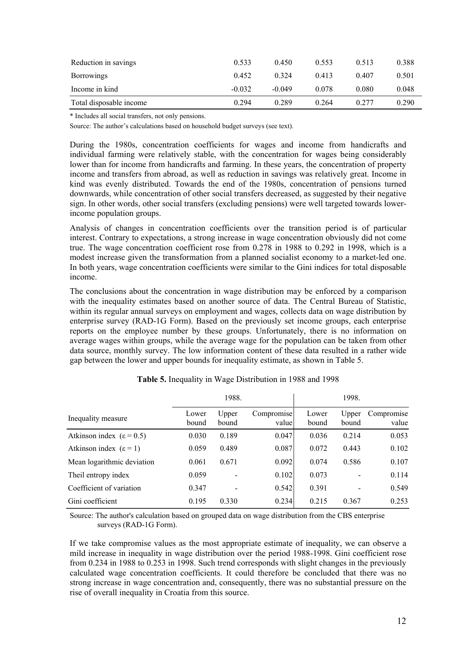| Reduction in savings    | 0.533    | 0.450    | 0.553 | 0.513 | 0.388 |
|-------------------------|----------|----------|-------|-------|-------|
| <b>Borrowings</b>       | 0.452    | 0 3 2 4  | 0.413 | 0.407 | 0.501 |
| Income in kind          | $-0.032$ | $-0.049$ | 0.078 | 0.080 | 0.048 |
| Total disposable income | 0.294    | 0.289    | 0.264 | 0.277 | 0.290 |

\* Includes all social transfers, not only pensions.

Source: The author's calculations based on household budget surveys (see text).

During the 1980s, concentration coefficients for wages and income from handicrafts and individual farming were relatively stable, with the concentration for wages being considerably lower than for income from handicrafts and farming. In these years, the concentration of property income and transfers from abroad, as well as reduction in savings was relatively great. Income in kind was evenly distributed. Towards the end of the 1980s, concentration of pensions turned downwards, while concentration of other social transfers decreased, as suggested by their negative sign. In other words, other social transfers (excluding pensions) were well targeted towards lowerincome population groups.

Analysis of changes in concentration coefficients over the transition period is of particular interest. Contrary to expectations, a strong increase in wage concentration obviously did not come true. The wage concentration coefficient rose from 0.278 in 1988 to 0.292 in 1998, which is a modest increase given the transformation from a planned socialist economy to a market-led one. In both years, wage concentration coefficients were similar to the Gini indices for total disposable income.

The conclusions about the concentration in wage distribution may be enforced by a comparison with the inequality estimates based on another source of data. The Central Bureau of Statistic, within its regular annual surveys on employment and wages, collects data on wage distribution by enterprise survey (RAD-1G Form). Based on the previously set income groups, each enterprise reports on the employee number by these groups. Unfortunately, there is no information on average wages within groups, while the average wage for the population can be taken from other data source, monthly survey. The low information content of these data resulted in a rather wide gap between the lower and upper bounds for inequality estimate, as shown in Table 5.

|                                       |                | 1988.          |                     |                | 1998.          |                     |
|---------------------------------------|----------------|----------------|---------------------|----------------|----------------|---------------------|
| Inequality measure                    | Lower<br>bound | Upper<br>bound | Compromise<br>value | Lower<br>bound | Upper<br>bound | Compromise<br>value |
| Atkinson index ( $\varepsilon$ = 0.5) | 0.030          | 0.189          | 0.047               | 0.036          | 0.214          | 0.053               |
| Atkinson index $(\epsilon = 1)$       | 0.059          | 0.489          | 0.087               | 0.072          | 0.443          | 0.102               |
| Mean logarithmic deviation            | 0.061          | 0.671          | 0.092               | 0.074          | 0.586          | 0.107               |
| Theil entropy index                   | 0.059          | -              | 0.102               | 0.073          |                | 0.114               |
| Coefficient of variation              | 0.347          |                | 0.542               | 0.391          |                | 0.549               |
| Gini coefficient                      | 0.195          | 0.330          | 0.234               | 0.215          | 0.367          | 0.253               |

**Table 5.** Inequality in Wage Distribution in 1988 and 1998

Source: The author's calculation based on grouped data on wage distribution from the CBS enterprise surveys (RAD-1G Form).

If we take compromise values as the most appropriate estimate of inequality, we can observe a mild increase in inequality in wage distribution over the period 1988-1998. Gini coefficient rose from 0.234 in 1988 to 0.253 in 1998. Such trend corresponds with slight changes in the previously calculated wage concentration coefficients. It could therefore be concluded that there was no strong increase in wage concentration and, consequently, there was no substantial pressure on the rise of overall inequality in Croatia from this source.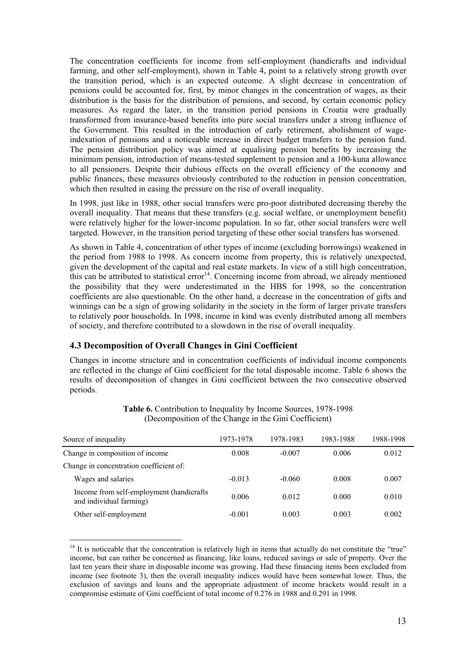The concentration coefficients for income from self-employment (handicrafts and individual farming, and other self-employment), shown in Table 4, point to a relatively strong growth over the transition period, which is an expected outcome. A slight decrease in concentration of pensions could be accounted for, first, by minor changes in the concentration of wages, as their distribution is the basis for the distribution of pensions, and second, by certain economic policy measures. As regard the later, in the transition period pensions in Croatia were gradually transformed from insurance-based benefits into pure social transfers under a strong influence of the Government. This resulted in the introduction of early retirement, abolishment of wageindexation of pensions and a noticeable increase in direct budget transfers to the pension fund. The pension distribution policy was aimed at equalising pension benefits by increasing the minimum pension, introduction of means-tested supplement to pension and a 100-kuna allowance to all pensioners. Despite their dubious effects on the overall efficiency of the economy and public finances, these measures obviously contributed to the reduction in pension concentration, which then resulted in easing the pressure on the rise of overall inequality.

In 1998, just like in 1988, other social transfers were pro-poor distributed decreasing thereby the overall inequality. That means that these transfers (e.g. social welfare, or unemployment benefit) were relatively higher for the lower-income population. In so far, other social transfers were well targeted. However, in the transition period targeting of these other social transfers has worsened.

As shown in Table 4, concentration of other types of income (excluding borrowings) weakened in the period from 1988 to 1998. As concern income from property, this is relatively unexpected, given the development of the capital and real estate markets. In view of a still high concentration, this can be attributed to statistical error<sup>14</sup>. Concerning income from abroad, we already mentioned the possibility that they were underestimated in the HBS for 1998, so the concentration coefficients are also questionable. On the other hand, a decrease in the concentration of gifts and winnings can be a sign of growing solidarity in the society in the form of larger private transfers to relatively poor households. In 1998, income in kind was evenly distributed among all members of society, and therefore contributed to a slowdown in the rise of overall inequality.

## **4.3 Decomposition of Overall Changes in Gini Coefficient**

 $\overline{a}$ 

Changes in income structure and in concentration coefficients of individual income components are reflected in the change of Gini coefficient for the total disposable income. Table 6 shows the results of decomposition of changes in Gini coefficient between the two consecutive observed periods.

| Source of inequality                                                 | 1973-1978 | 1978-1983 | 1983-1988 | 1988-1998 |
|----------------------------------------------------------------------|-----------|-----------|-----------|-----------|
| Change in composition of income                                      | 0.008     | $-0.007$  | 0.006     | 0.012     |
| Change in concentration coefficient of:                              |           |           |           |           |
| Wages and salaries                                                   | $-0.013$  | $-0.060$  | 0.008     | 0.007     |
| Income from self-employment (handicrafts)<br>and individual farming) | 0.006     | 0.012     | 0.000     | 0.010     |
| Other self-employment                                                | $-0.001$  | 0.003     | 0.003     | 0.002     |

**Table 6.** Contribution to Inequality by Income Sources, 1978-1998 (Decomposition of the Change in the Gini Coefficient)

 $14$  It is noticeable that the concentration is relatively high in items that actually do not constitute the "true" income, but can rather be concerned as financing, like loans, reduced savings or sale of property. Over the last ten years their share in disposable income was growing. Had these financing items been excluded from income (see footnote 3), then the overall inequality indices would have been somewhat lower. Thus, the exclusion of savings and loans and the appropriate adjustment of income brackets would result in a compromise estimate of Gini coefficient of total income of 0.276 in 1988 and 0.291 in 1998.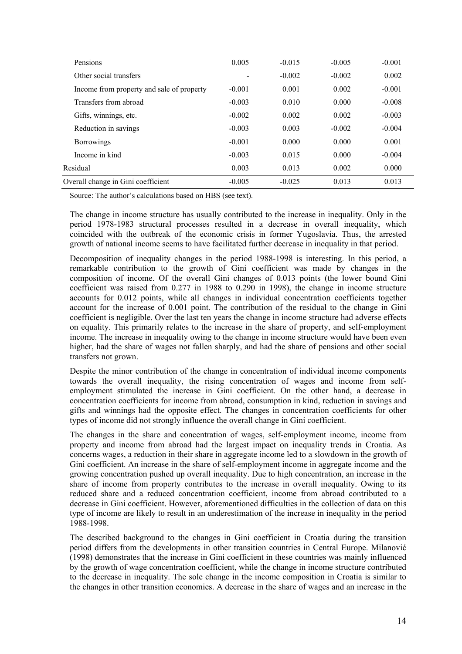| Pensions                                  | 0.005    | $-0.015$ | $-0.005$ | $-0.001$ |
|-------------------------------------------|----------|----------|----------|----------|
| Other social transfers                    |          | $-0.002$ | $-0.002$ | 0.002    |
| Income from property and sale of property | $-0.001$ | 0.001    | 0.002    | $-0.001$ |
| Transfers from abroad                     | $-0.003$ | 0.010    | 0.000    | $-0.008$ |
| Gifts, winnings, etc.                     | $-0.002$ | 0.002    | 0.002    | $-0.003$ |
| Reduction in savings                      | $-0.003$ | 0.003    | $-0.002$ | $-0.004$ |
| <b>Borrowings</b>                         | $-0.001$ | 0.000    | 0.000    | 0.001    |
| Income in kind                            | $-0.003$ | 0.015    | 0.000    | $-0.004$ |
| Residual                                  | 0.003    | 0.013    | 0.002    | 0.000    |
| Overall change in Gini coefficient        | $-0.005$ | $-0.025$ | 0.013    | 0.013    |

Source: The author's calculations based on HBS (see text).

The change in income structure has usually contributed to the increase in inequality. Only in the period 1978-1983 structural processes resulted in a decrease in overall inequality, which coincided with the outbreak of the economic crisis in former Yugoslavia. Thus, the arrested growth of national income seems to have facilitated further decrease in inequality in that period.

Decomposition of inequality changes in the period 1988-1998 is interesting. In this period, a remarkable contribution to the growth of Gini coefficient was made by changes in the composition of income. Of the overall Gini changes of 0.013 points (the lower bound Gini coefficient was raised from 0.277 in 1988 to 0.290 in 1998), the change in income structure accounts for 0.012 points, while all changes in individual concentration coefficients together account for the increase of 0.001 point. The contribution of the residual to the change in Gini coefficient is negligible. Over the last ten years the change in income structure had adverse effects on equality. This primarily relates to the increase in the share of property, and self-employment income. The increase in inequality owing to the change in income structure would have been even higher, had the share of wages not fallen sharply, and had the share of pensions and other social transfers not grown.

Despite the minor contribution of the change in concentration of individual income components towards the overall inequality, the rising concentration of wages and income from selfemployment stimulated the increase in Gini coefficient. On the other hand, a decrease in concentration coefficients for income from abroad, consumption in kind, reduction in savings and gifts and winnings had the opposite effect. The changes in concentration coefficients for other types of income did not strongly influence the overall change in Gini coefficient.

The changes in the share and concentration of wages, self-employment income, income from property and income from abroad had the largest impact on inequality trends in Croatia. As concerns wages, a reduction in their share in aggregate income led to a slowdown in the growth of Gini coefficient. An increase in the share of self-employment income in aggregate income and the growing concentration pushed up overall inequality. Due to high concentration, an increase in the share of income from property contributes to the increase in overall inequality. Owing to its reduced share and a reduced concentration coefficient, income from abroad contributed to a decrease in Gini coefficient. However, aforementioned difficulties in the collection of data on this type of income are likely to result in an underestimation of the increase in inequality in the period 1988-1998.

The described background to the changes in Gini coefficient in Croatia during the transition period differs from the developments in other transition countries in Central Europe. Milanović (1998) demonstrates that the increase in Gini coefficient in these countries was mainly influenced by the growth of wage concentration coefficient, while the change in income structure contributed to the decrease in inequality. The sole change in the income composition in Croatia is similar to the changes in other transition economies. A decrease in the share of wages and an increase in the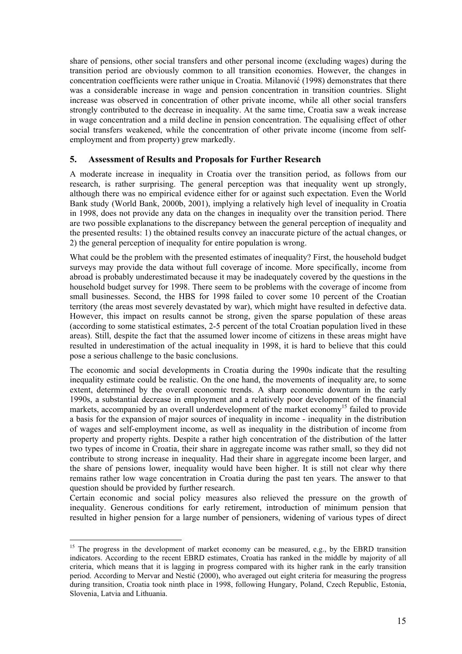share of pensions, other social transfers and other personal income (excluding wages) during the transition period are obviously common to all transition economies. However, the changes in concentration coefficients were rather unique in Croatia. Milanović (1998) demonstrates that there was a considerable increase in wage and pension concentration in transition countries. Slight increase was observed in concentration of other private income, while all other social transfers strongly contributed to the decrease in inequality. At the same time, Croatia saw a weak increase in wage concentration and a mild decline in pension concentration. The equalising effect of other social transfers weakened, while the concentration of other private income (income from selfemployment and from property) grew markedly.

## **5. Assessment of Results and Proposals for Further Research**

A moderate increase in inequality in Croatia over the transition period, as follows from our research, is rather surprising. The general perception was that inequality went up strongly, although there was no empirical evidence either for or against such expectation. Even the World Bank study (World Bank, 2000b, 2001), implying a relatively high level of inequality in Croatia in 1998, does not provide any data on the changes in inequality over the transition period. There are two possible explanations to the discrepancy between the general perception of inequality and the presented results: 1) the obtained results convey an inaccurate picture of the actual changes, or 2) the general perception of inequality for entire population is wrong.

What could be the problem with the presented estimates of inequality? First, the household budget surveys may provide the data without full coverage of income. More specifically, income from abroad is probably underestimated because it may be inadequately covered by the questions in the household budget survey for 1998. There seem to be problems with the coverage of income from small businesses. Second, the HBS for 1998 failed to cover some 10 percent of the Croatian territory (the areas most severely devastated by war), which might have resulted in defective data. However, this impact on results cannot be strong, given the sparse population of these areas (according to some statistical estimates, 2-5 percent of the total Croatian population lived in these areas). Still, despite the fact that the assumed lower income of citizens in these areas might have resulted in underestimation of the actual inequality in 1998, it is hard to believe that this could pose a serious challenge to the basic conclusions.

The economic and social developments in Croatia during the 1990s indicate that the resulting inequality estimate could be realistic. On the one hand, the movements of inequality are, to some extent, determined by the overall economic trends. A sharp economic downturn in the early 1990s, a substantial decrease in employment and a relatively poor development of the financial markets, accompanied by an overall underdevelopment of the market economy<sup>15</sup> failed to provide a basis for the expansion of major sources of inequality in income - inequality in the distribution of wages and self-employment income, as well as inequality in the distribution of income from property and property rights. Despite a rather high concentration of the distribution of the latter two types of income in Croatia, their share in aggregate income was rather small, so they did not contribute to strong increase in inequality. Had their share in aggregate income been larger, and the share of pensions lower, inequality would have been higher. It is still not clear why there remains rather low wage concentration in Croatia during the past ten years. The answer to that question should be provided by further research.

Certain economic and social policy measures also relieved the pressure on the growth of inequality. Generous conditions for early retirement, introduction of minimum pension that resulted in higher pension for a large number of pensioners, widening of various types of direct

<sup>&</sup>lt;sup>15</sup> The progress in the development of market economy can be measured, e.g., by the EBRD transition indicators. According to the recent EBRD estimates, Croatia has ranked in the middle by majority of all criteria, which means that it is lagging in progress compared with its higher rank in the early transition period. According to Mervar and Nestić (2000), who averaged out eight criteria for measuring the progress during transition, Croatia took ninth place in 1998, following Hungary, Poland, Czech Republic, Estonia, Slovenia, Latvia and Lithuania.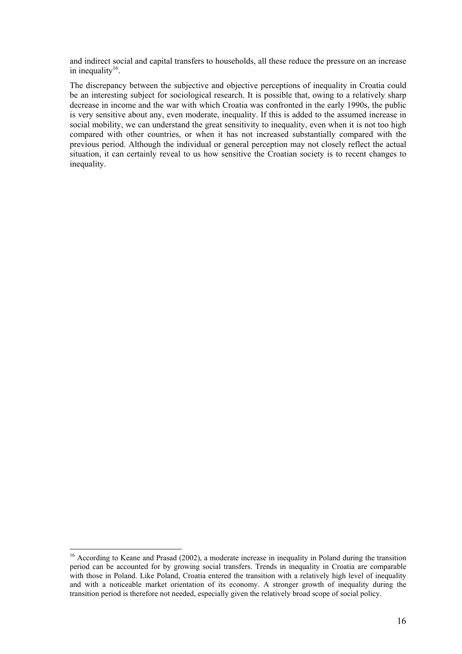and indirect social and capital transfers to households, all these reduce the pressure on an increase in inequality $16$ .

The discrepancy between the subjective and objective perceptions of inequality in Croatia could be an interesting subject for sociological research. It is possible that, owing to a relatively sharp decrease in income and the war with which Croatia was confronted in the early 1990s, the public is very sensitive about any, even moderate, inequality. If this is added to the assumed increase in social mobility, we can understand the great sensitivity to inequality, even when it is not too high compared with other countries, or when it has not increased substantially compared with the previous period. Although the individual or general perception may not closely reflect the actual situation, it can certainly reveal to us how sensitive the Croatian society is to recent changes to inequality.

<sup>&</sup>lt;sup>16</sup> According to Keane and Prasad (2002), a moderate increase in inequality in Poland during the transition period can be accounted for by growing social transfers. Trends in inequality in Croatia are comparable with those in Poland. Like Poland, Croatia entered the transition with a relatively high level of inequality and with a noticeable market orientation of its economy. A stronger growth of inequality during the transition period is therefore not needed, especially given the relatively broad scope of social policy.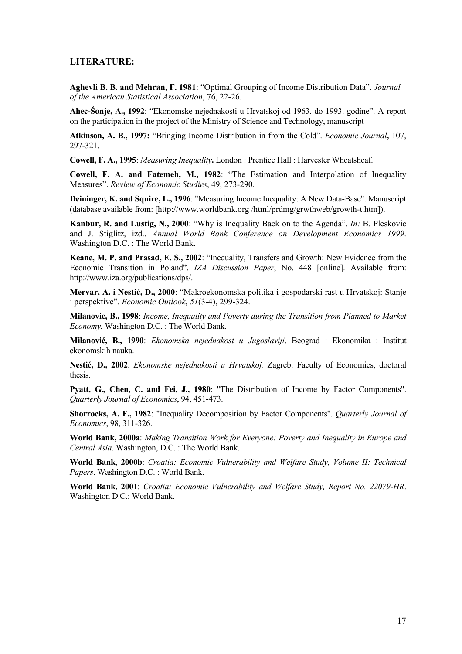### **LITERATURE:**

**Aghevli B. B. and Mehran, F. 1981**: "Optimal Grouping of Income Distribution Data". *Journal of the American Statistical Association*, 76, 22-26.

**Ahec-Šonje, A., 1992**: "Ekonomske nejednakosti u Hrvatskoj od 1963. do 1993. godine". A report on the participation in the project of the Ministry of Science and Technology, manuscript

**Atkinson, A. B., 1997:** "Bringing Income Distribution in from the Cold". *Economic Journal***,** 107, 297-321.

**Cowell, F. A., 1995**: *Measuring Inequality***.** London : Prentice Hall : Harvester Wheatsheaf.

**Cowell, F. A. and Fatemeh, M., 1982**: "The Estimation and Interpolation of Inequality Measures". *Review of Economic Studies*, 49, 273-290.

**Deininger, K. and Squire, L., 1996**: "Measuring Income Inequality: A New Data-Base". Manuscript (database available from: [http://www.worldbank.org /html/prdmg/grwthweb/growth-t.htm]).

**Kanbur, R. and Lustig, N., 2000**: "Why is Inequality Back on to the Agenda". *In:* B. Pleskovic and J. Stiglitz, izd.. *Annual World Bank Conference on Development Economics 1999*. Washington D.C. : The World Bank.

**Keane, M. P. and Prasad, E. S., 2002**: "Inequality, Transfers and Growth: New Evidence from the Economic Transition in Poland". *IZA Discussion Paper*, No. 448 [online]. Available from: http://www.iza.org/publications/dps/.

**Mervar, A. i Nestić, D., 2000**: "Makroekonomska politika i gospodarski rast u Hrvatskoj: Stanje i perspektive". *Economic Outlook*, *51*(3-4), 299-324.

**Milanovic, B., 1998**: *Income, Inequality and Poverty during the Transition from Planned to Market Economy.* Washington D.C. : The World Bank.

**Milanović, B., 1990**: *Ekonomska nejednakost u Jugoslaviji*. Beograd : Ekonomika : Institut ekonomskih nauka.

**Nestić, D., 2002**. *Ekonomske nejednakosti u Hrvatskoj.* Zagreb: Faculty of Economics, doctoral thesis.

**Pyatt, G., Chen, C. and Fei, J., 1980**: "The Distribution of Income by Factor Components". *Quarterly Journal of Economics*, 94, 451-473.

**Shorrocks, A. F., 1982**: "Inequality Decomposition by Factor Components". *Quarterly Journal of Economics*, 98, 311-326.

**World Bank, 2000a**: *Making Transition Work for Everyone: Poverty and Inequality in Europe and Central Asia*. Washington, D.C. : The World Bank.

**World Bank**, **2000b**: *Croatia: Economic Vulnerability and Welfare Study, Volume II: Technical Papers*. Washington D.C. : World Bank.

**World Bank, 2001**: *Croatia: Economic Vulnerability and Welfare Study, Report No. 22079-HR*. Washington D.C.: World Bank.